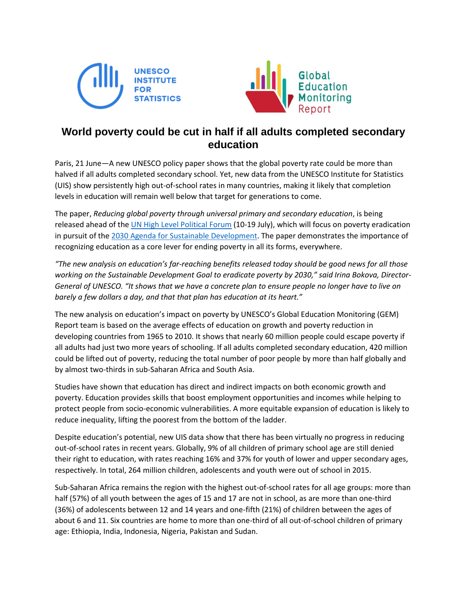



## **World poverty could be cut in half if all adults completed secondary education**

Paris, 21 June—A new UNESCO policy paper shows that the global poverty rate could be more than halved if all adults completed secondary school. Yet, new data from the UNESCO Institute for Statistics (UIS) show persistently high out-of-school rates in many countries, making it likely that completion levels in education will remain well below that target for generations to come.

The paper, *Reducing global poverty through universal primary and secondary education*, is being released ahead of th[e UN High Level Political Forum](https://sustainabledevelopment.un.org/hlpf) (10-19 July), which will focus on poverty eradication in pursuit of the [2030 Agenda for Sustainable](http://www.un.org/sustainabledevelopment/sustainable-development-goals/) Development. The paper demonstrates the importance of recognizing education as a core lever for ending poverty in all its forms, everywhere.

*"The new analysis on education's far-reaching benefits released today should be good news for all those working on the Sustainable Development Goal to eradicate poverty by 2030," said Irina Bokova, Director-General of UNESCO. "It shows that we have a concrete plan to ensure people no longer have to live on barely a few dollars a day, and that that plan has education at its heart."*

The new analysis on education's impact on poverty by UNESCO's Global Education Monitoring (GEM) Report team is based on the average effects of education on growth and poverty reduction in developing countries from 1965 to 2010. It shows that nearly 60 million people could escape poverty if all adults had just two more years of schooling. If all adults completed secondary education, 420 million could be lifted out of poverty, reducing the total number of poor people by more than half globally and by almost two-thirds in sub-Saharan Africa and South Asia.

Studies have shown that education has direct and indirect impacts on both economic growth and poverty. Education provides skills that boost employment opportunities and incomes while helping to protect people from socio-economic vulnerabilities. A more equitable expansion of education is likely to reduce inequality, lifting the poorest from the bottom of the ladder.

Despite education's potential, new UIS data show that there has been virtually no progress in reducing out-of-school rates in recent years. Globally, 9% of all children of primary school age are still denied their right to education, with rates reaching 16% and 37% for youth of lower and upper secondary ages, respectively. In total, 264 million children, adolescents and youth were out of school in 2015.

Sub-Saharan Africa remains the region with the highest out-of-school rates for all age groups: more than half (57%) of all youth between the ages of 15 and 17 are not in school, as are more than one-third (36%) of adolescents between 12 and 14 years and one-fifth (21%) of children between the ages of about 6 and 11. Six countries are home to more than one-third of all out-of-school children of primary age: Ethiopia, India, Indonesia, Nigeria, Pakistan and Sudan.